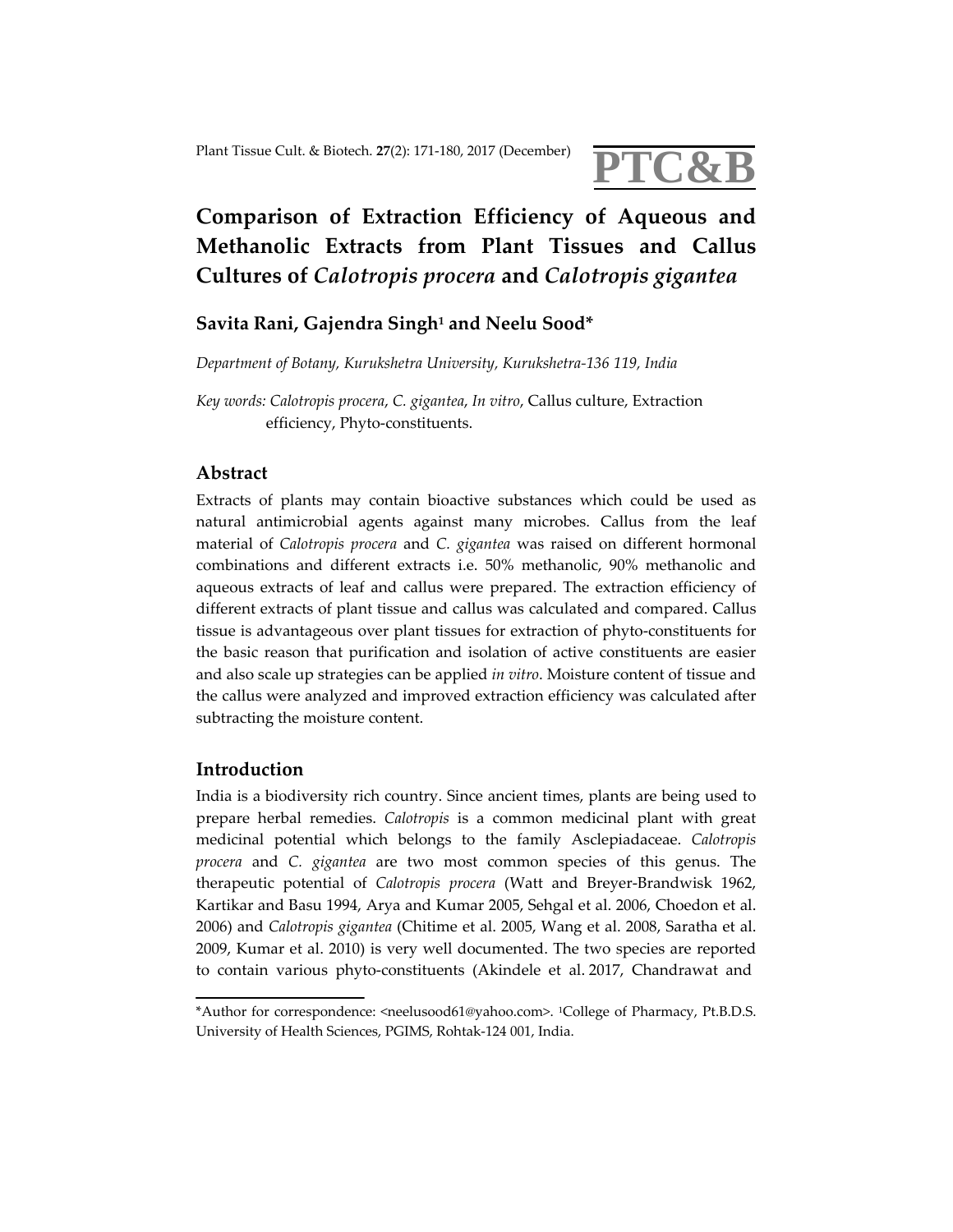

# **Comparison of Extraction Efficiency of Aqueous and Methanolic Extracts from Plant Tissues and Callus Cultures of** *Calotropis procera* **and** *Calotropis gigantea*

## **Savita Rani, Gajendra Singh1 and Neelu Sood\***

*Department of Botany, Kurukshetra University, Kurukshetra‐136 119, India*

*Key words: Calotropis procera*, *C. gigantea*, *In vitro*, Callus culture, Extraction efficiency, Phyto‐constituents.

## **Abstract**

Extracts of plants may contain bioactive substances which could be used as natural antimicrobial agents against many microbes. Callus from the leaf material of *Calotropis procera* and *C. gigantea* was raised on different hormonal combinations and different extracts i.e. 50% methanolic, 90% methanolic and aqueous extracts of leaf and callus were prepared. The extraction efficiency of different extracts of plant tissue and callus was calculated and compared. Callus tissue is advantageous over plant tissues for extraction of phyto‐constituents for the basic reason that purification and isolation of active constituents are easier and also scale up strategies can be applied *in vitro*. Moisture content of tissue and the callus were analyzed and improved extraction efficiency was calculated after subtracting the moisture content.

## **Introduction**

India is a biodiversity rich country. Since ancient times, plants are being used to prepare herbal remedies. *Calotropis* is a common medicinal plant with great medicinal potential which belongs to the family Asclepiadaceae. *Calotropis procera* and *C. gigantea* are two most common species of this genus. The therapeutic potential of *Calotropis procera* (Watt and Breyer‐Brandwisk 1962, Kartikar and Basu 1994, Arya and Kumar 2005, Sehgal et al. 2006, Choedon et al. 2006) and *Calotropis gigantea* (Chitime et al. 2005, Wang et al. 2008, Saratha et al. 2009, Kumar et al. 2010) is very well documented. The two species are reported to contain various phyto‐constituents (Akindele et al. 2017, Chandrawat and

<sup>\*</sup>Author for correspondence: <neelusood61@yahoo.com>. 1College of Pharmacy, Pt.B.D.S. University of Health Sciences, PGIMS, Rohtak‐124 001, India.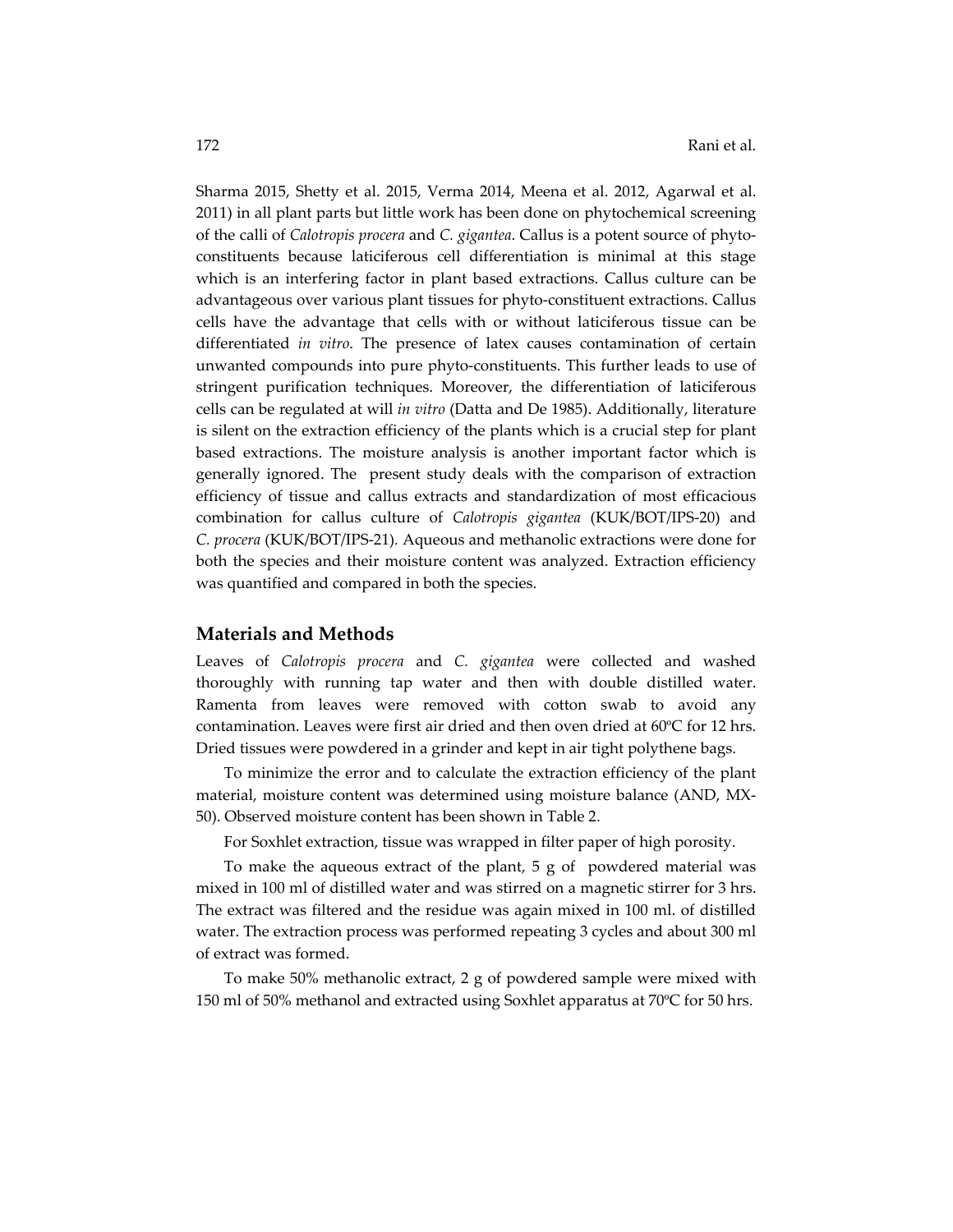Sharma 2015, Shetty et al. 2015, Verma 2014, Meena et al. 2012, Agarwal et al. 2011) in all plant parts but little work has been done on phytochemical screening of the calli of *Calotropis procera* and *C. gigantea*. Callus is a potent source of phyto‐ constituents because laticiferous cell differentiation is minimal at this stage which is an interfering factor in plant based extractions. Callus culture can be advantageous over various plant tissues for phyto‐constituent extractions. Callus cells have the advantage that cells with or without laticiferous tissue can be differentiated *in vitro*. The presence of latex causes contamination of certain unwanted compounds into pure phyto‐constituents. This further leads to use of stringent purification techniques. Moreover, the differentiation of laticiferous cells can be regulated at will *in vitro* (Datta and De 1985). Additionally, literature is silent on the extraction efficiency of the plants which is a crucial step for plant based extractions. The moisture analysis is another important factor which is generally ignored. The present study deals with the comparison of extraction efficiency of tissue and callus extracts and standardization of most efficacious combination for callus culture of *Calotropis gigantea* (KUK/BOT/IPS‐20) and *C. procera* (KUK/BOT/IPS‐21)*.* Aqueous and methanolic extractions were done for both the species and their moisture content was analyzed. Extraction efficiency was quantified and compared in both the species.

#### **Materials and Methods**

Leaves of *Calotropis procera* and *C. gigantea* were collected and washed thoroughly with running tap water and then with double distilled water. Ramenta from leaves were removed with cotton swab to avoid any contamination. Leaves were first air dried and then oven dried at 60ºC for 12 hrs. Dried tissues were powdered in a grinder and kept in air tight polythene bags.

To minimize the error and to calculate the extraction efficiency of the plant material, moisture content was determined using moisture balance (AND, MX‐ 50). Observed moisture content has been shown in Table 2.

For Soxhlet extraction, tissue was wrapped in filter paper of high porosity.

To make the aqueous extract of the plant,  $5 g$  of powdered material was mixed in 100 ml of distilled water and was stirred on a magnetic stirrer for 3 hrs. The extract was filtered and the residue was again mixed in 100 ml. of distilled water. The extraction process was performed repeating 3 cycles and about 300 ml of extract was formed.

To make 50% methanolic extract, 2 g of powdered sample were mixed with 150 ml of 50% methanol and extracted using Soxhlet apparatus at 70ºC for 50 hrs.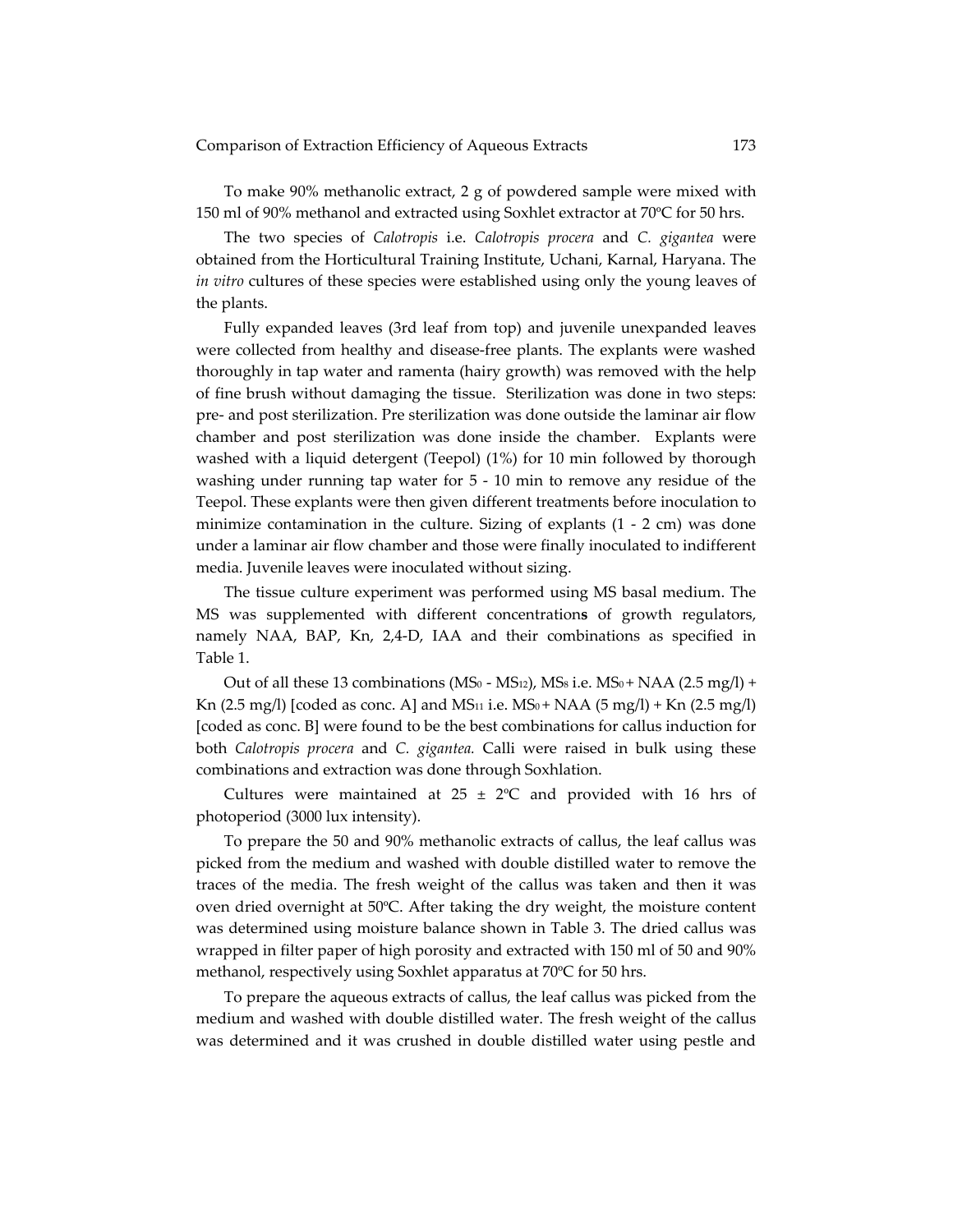To make 90% methanolic extract, 2 g of powdered sample were mixed with 150 ml of 90% methanol and extracted using Soxhlet extractor at 70ºC for 50 hrs.

The two species of *Calotropis* i.e. *Calotropis procera* and *C. gigantea* were obtained from the Horticultural Training Institute, Uchani, Karnal, Haryana. The *in vitro* cultures of these species were established using only the young leaves of the plants.

Fully expanded leaves (3rd leaf from top) and juvenile unexpanded leaves were collected from healthy and disease-free plants. The explants were washed thoroughly in tap water and ramenta (hairy growth) was removed with the help of fine brush without damaging the tissue. Sterilization was done in two steps: pre‐ and post sterilization. Pre sterilization was done outside the laminar air flow chamber and post sterilization was done inside the chamber. Explants were washed with a liquid detergent (Teepol) (1%) for 10 min followed by thorough washing under running tap water for  $5 - 10$  min to remove any residue of the Teepol. These explants were then given different treatments before inoculation to minimize contamination in the culture. Sizing of explants  $(1 - 2 \text{ cm})$  was done under a laminar air flow chamber and those were finally inoculated to indifferent media. Juvenile leaves were inoculated without sizing.

The tissue culture experiment was performed using MS basal medium. The MS was supplemented with different concentration**s** of growth regulators, namely NAA, BAP, Kn, 2,4‐D, IAA and their combinations as specified in Table 1.

Out of all these 13 combinations (MS<sub>0</sub> - MS<sub>12</sub>), MS<sub>8</sub> i.e. MS<sub>0</sub> + NAA (2.5 mg/l) + Kn (2.5 mg/l) [coded as conc. A] and MS<sub>11</sub> i.e. MS<sub>0</sub> + NAA (5 mg/l) + Kn (2.5 mg/l) [coded as conc. B] were found to be the best combinations for callus induction for both *Calotropis procera* and *C. gigantea.* Calli were raised in bulk using these combinations and extraction was done through Soxhlation.

Cultures were maintained at  $25 \pm 2$ °C and provided with 16 hrs of photoperiod (3000 lux intensity).

To prepare the 50 and 90% methanolic extracts of callus, the leaf callus was picked from the medium and washed with double distilled water to remove the traces of the media. The fresh weight of the callus was taken and then it was oven dried overnight at 50ºC. After taking the dry weight, the moisture content was determined using moisture balance shown in Table 3. The dried callus was wrapped in filter paper of high porosity and extracted with 150 ml of 50 and 90% methanol, respectively using Soxhlet apparatus at 70ºC for 50 hrs.

To prepare the aqueous extracts of callus, the leaf callus was picked from the medium and washed with double distilled water. The fresh weight of the callus was determined and it was crushed in double distilled water using pestle and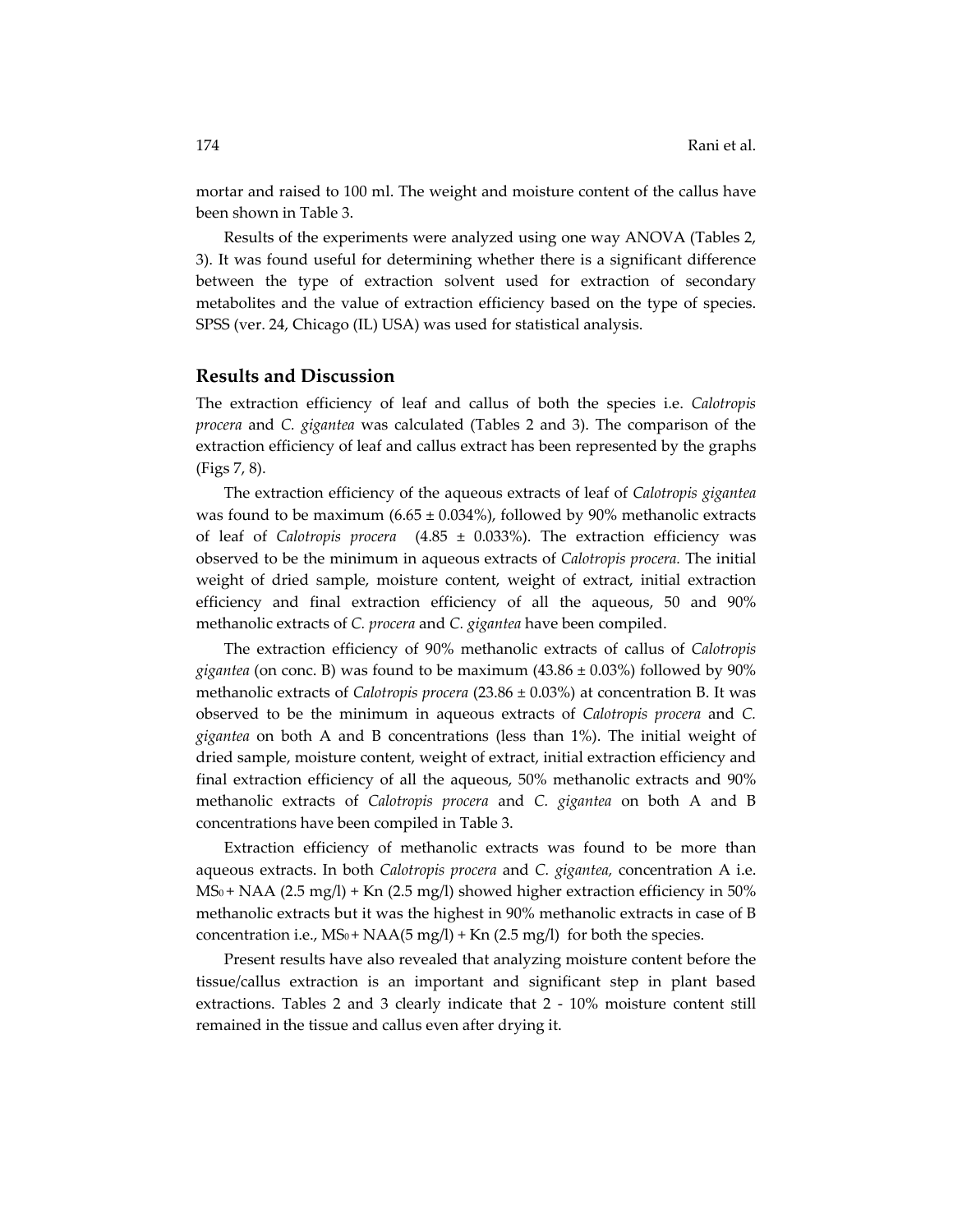mortar and raised to 100 ml. The weight and moisture content of the callus have been shown in Table 3.

Results of the experiments were analyzed using one way ANOVA (Tables 2, 3). It was found useful for determining whether there is a significant difference between the type of extraction solvent used for extraction of secondary metabolites and the value of extraction efficiency based on the type of species. SPSS (ver. 24, Chicago (IL) USA) was used for statistical analysis.

#### **Results and Discussion**

The extraction efficiency of leaf and callus of both the species i.e. *Calotropis procera* and *C. gigantea* was calculated (Tables 2 and 3). The comparison of the extraction efficiency of leaf and callus extract has been represented by the graphs (Figs 7, 8).

The extraction efficiency of the aqueous extracts of leaf of *Calotropis gigantea* was found to be maximum (6.65  $\pm$  0.034%), followed by 90% methanolic extracts of leaf of *Calotropis procera* (4.85 ± 0.033%). The extraction efficiency was observed to be the minimum in aqueous extracts of *Calotropis procera.* The initial weight of dried sample, moisture content, weight of extract, initial extraction efficiency and final extraction efficiency of all the aqueous, 50 and 90% methanolic extracts of *C. procera* and *C. gigantea* have been compiled.

The extraction efficiency of 90% methanolic extracts of callus of *Calotropis gigantea* (on conc. B) was found to be maximum  $(43.86 \pm 0.03\%)$  followed by 90% methanolic extracts of *Calotropis procera* (23.86 ± 0.03%) at concentration B. It was observed to be the minimum in aqueous extracts of *Calotropis procera* and *C. gigantea* on both A and B concentrations (less than 1%). The initial weight of dried sample, moisture content, weight of extract, initial extraction efficiency and final extraction efficiency of all the aqueous, 50% methanolic extracts and 90% methanolic extracts of *Calotropis procera* and *C. gigantea* on both A and B concentrations have been compiled in Table 3.

Extraction efficiency of methanolic extracts was found to be more than aqueous extracts. In both *Calotropis procera* and *C. gigantea,* concentration A i.e.  $MS_0 + NAA$  (2.5 mg/l) + Kn (2.5 mg/l) showed higher extraction efficiency in 50% methanolic extracts but it was the highest in 90% methanolic extracts in case of B concentration i.e.,  $MS_0 + NAA(5 mg/l) + Kn (2.5 mg/l)$  for both the species.

Present results have also revealed that analyzing moisture content before the tissue/callus extraction is an important and significant step in plant based extractions. Tables 2 and 3 clearly indicate that 2 - 10% moisture content still remained in the tissue and callus even after drying it.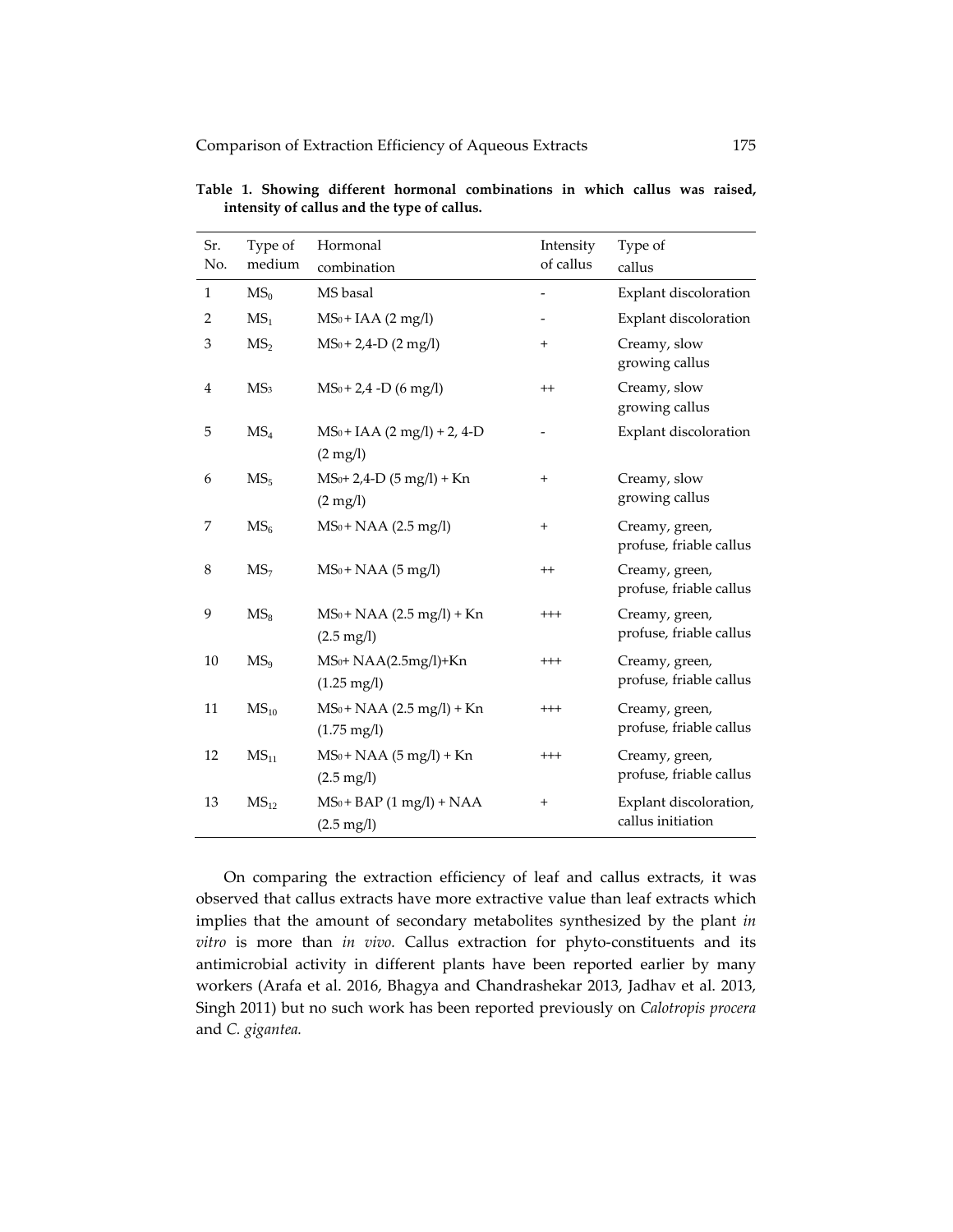| Sr.<br>No.     | Type of<br>medium | Hormonal<br>combination                                 | Intensity<br>of callus | Type of<br>callus                           |
|----------------|-------------------|---------------------------------------------------------|------------------------|---------------------------------------------|
| $\mathbf{1}$   | MS <sub>0</sub>   | MS basal                                                |                        | Explant discoloration                       |
| 2              | MS <sub>1</sub>   | $MS_0 + IAA (2 mg/l)$                                   |                        | Explant discoloration                       |
| 3              | MS <sub>2</sub>   | $MS_0 + 2,4-D$ (2 mg/l)                                 | $^{+}$                 | Creamy, slow<br>growing callus              |
| $\overline{4}$ | MS <sub>3</sub>   | $MS_0 + 2.4 - D (6 mg/l)$                               | $^{++}$                | Creamy, slow<br>growing callus              |
| 5              | MS <sub>4</sub>   | $MS_0 + IAA (2 mg/l) + 2, 4-D$<br>$(2 \text{ mg/l})$    |                        | Explant discoloration                       |
| 6              | MS <sub>5</sub>   | $MS0+2,4-D (5 mg/l)+Kn$<br>$(2 \text{ mg/l})$           | $\overline{+}$         | Creamy, slow<br>growing callus              |
| 7              | MS <sub>6</sub>   | $MS_0 + NAA (2.5 mg/l)$                                 | $\qquad \qquad +$      | Creamy, green,<br>profuse, friable callus   |
| 8              | MS <sub>7</sub>   | $MS_0 + NAA$ (5 mg/l)                                   | $^{++}$                | Creamy, green,<br>profuse, friable callus   |
| 9              | $MS_8$            | $MS_0 + NAA (2.5 mg/l) + Kn$<br>$(2.5 \,\mathrm{mg/l})$ | $^{+++}$               | Creamy, green,<br>profuse, friable callus   |
| 10             | MS <sub>9</sub>   | $MS0+NAA(2.5mg/l)+Kn$<br>$(1.25 \text{ mg/l})$          | $^{+++}$               | Creamy, green,<br>profuse, friable callus   |
| 11             | $MS_{10}$         | $MS_0 + NAA (2.5 mg/l) + Kn$<br>$(1.75 \text{ mg/l})$   | $^{+++}$               | Creamy, green,<br>profuse, friable callus   |
| 12             | MS <sub>11</sub>  | $MS_0 + NAA (5 mg/l) + Kn$<br>$(2.5 \,\mathrm{mg/l})$   | $^{+++}$               | Creamy, green,<br>profuse, friable callus   |
| 13             | MS <sub>12</sub>  | $MS_0 + BAP$ (1 mg/l) + NAA<br>$(2.5 \text{ mg/l})$     | $^{+}$                 | Explant discoloration,<br>callus initiation |

**Table 1. Showing different hormonal combinations in which callus was raised, intensity of callus and the type of callus.**

On comparing the extraction efficiency of leaf and callus extracts, it was observed that callus extracts have more extractive value than leaf extracts which implies that the amount of secondary metabolites synthesized by the plant *in vitro* is more than *in vivo.* Callus extraction for phyto‐constituents and its antimicrobial activity in different plants have been reported earlier by many workers (Arafa et al. 2016, Bhagya and Chandrashekar 2013, Jadhav et al. 2013, Singh 2011) but no such work has been reported previously on *Calotropis procera* and *C. gigantea.*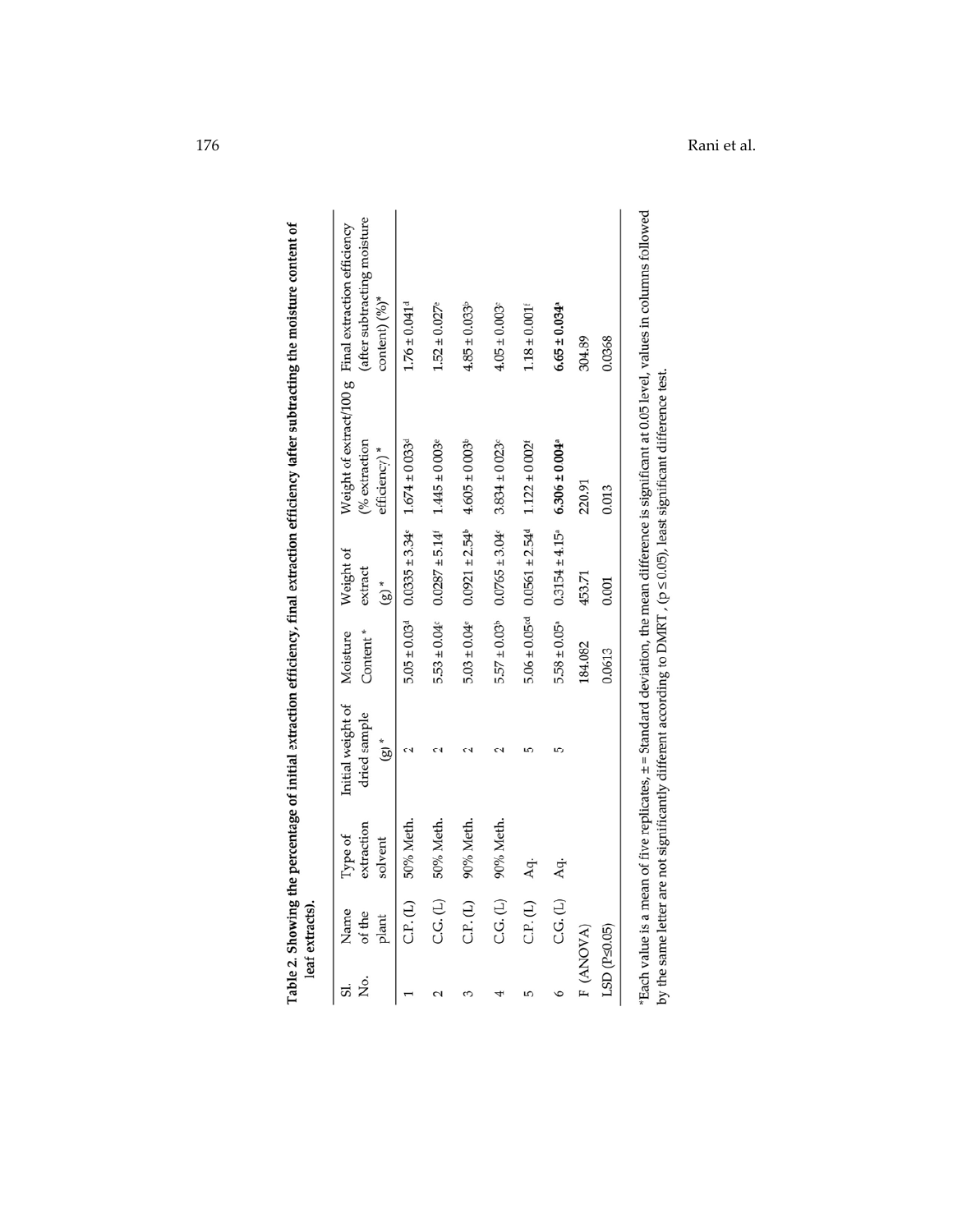| Σó | Name<br>of the<br>plant | extraction<br>Type of<br>solvent | Initial weight of<br>dried sample<br>$(8)$ * | Content*<br>Moisture | Weight of<br>extract<br>$(g)^*$                                                            | (% extraction<br>efficiency)*                                                                                              | (after subtracting moisture<br>Weight of extract/100 g Final extraction efficiency<br>content) $(^{9}_{0})^*$                                  |
|----|-------------------------|----------------------------------|----------------------------------------------|----------------------|--------------------------------------------------------------------------------------------|----------------------------------------------------------------------------------------------------------------------------|------------------------------------------------------------------------------------------------------------------------------------------------|
|    | C.P. (L)                | 50% Meth.                        |                                              |                      | $5.05 \pm 0.03$ <sup>d</sup> $0.0335 \pm 3.34$ <sup>e</sup> $1.674 \pm 0.033$ <sup>d</sup> |                                                                                                                            | $1.76 \pm 0.041$ <sup>d</sup>                                                                                                                  |
|    | C.G. (L)                | 50% Meth.                        |                                              |                      | $5.53 \pm 0.04$ $0.0287 \pm 5.14$ $1.445 \pm 0.003$                                        |                                                                                                                            | $1.52 \pm 0.027$ <sup>e</sup>                                                                                                                  |
|    | C.P. (L)                | 90% Meth.                        |                                              |                      | $5.03 \pm 0.04$ $0.0921 \pm 2.54$ $4.605 \pm 0.003$                                        |                                                                                                                            | $4.85 \pm 0.033$ <sup>b</sup>                                                                                                                  |
|    | C.G. (L)                | 90% Meth.                        |                                              | $5.57 \pm 0.03^b$    | $0.0765 \pm 3.04$                                                                          | $3.834 \pm 0.023$                                                                                                          | $4.05 \pm 0.003$                                                                                                                               |
|    | C.P. (L)                | Aq.                              |                                              |                      | $5.06 \pm 0.05$ <sup>cd</sup> $0.0561 \pm 2.54$ <sup>d</sup>                               | $1.122 \pm 0.002$ <sup>e</sup>                                                                                             | $1.18 \pm 0.001$ <sup>t</sup>                                                                                                                  |
|    | C.G. (L)                | Aq.                              |                                              | $5.58 \pm 0.05^a$    | $0.3154 \pm 4.15^a$                                                                        | $6.306 \pm 0.004$ <sup>a</sup>                                                                                             | $6.65 \pm 0.034$ <sup>a</sup>                                                                                                                  |
|    | F (ANOVA)               |                                  |                                              | 184.082              | 453.71                                                                                     | 220.91                                                                                                                     | 304.89                                                                                                                                         |
|    | LSD (P<0.05)            |                                  |                                              | 0.0613               | 0.001                                                                                      | 0.013                                                                                                                      | 0.0368                                                                                                                                         |
|    |                         |                                  |                                              |                      |                                                                                            | by the same letter are not significantly different according to DMRT , $(p \le 0.05)$ , least significant difference test. | *Each value is a mean of five replicates, ± = Standard deviation, the mean difference is significant at 0.05 level, values in columns followed |

Table 2. Showing the percentage of initial extraction efficiency, final extraction efficiency (after subtracting the moisture content of<br>leaf extracts).

176 Rani et al.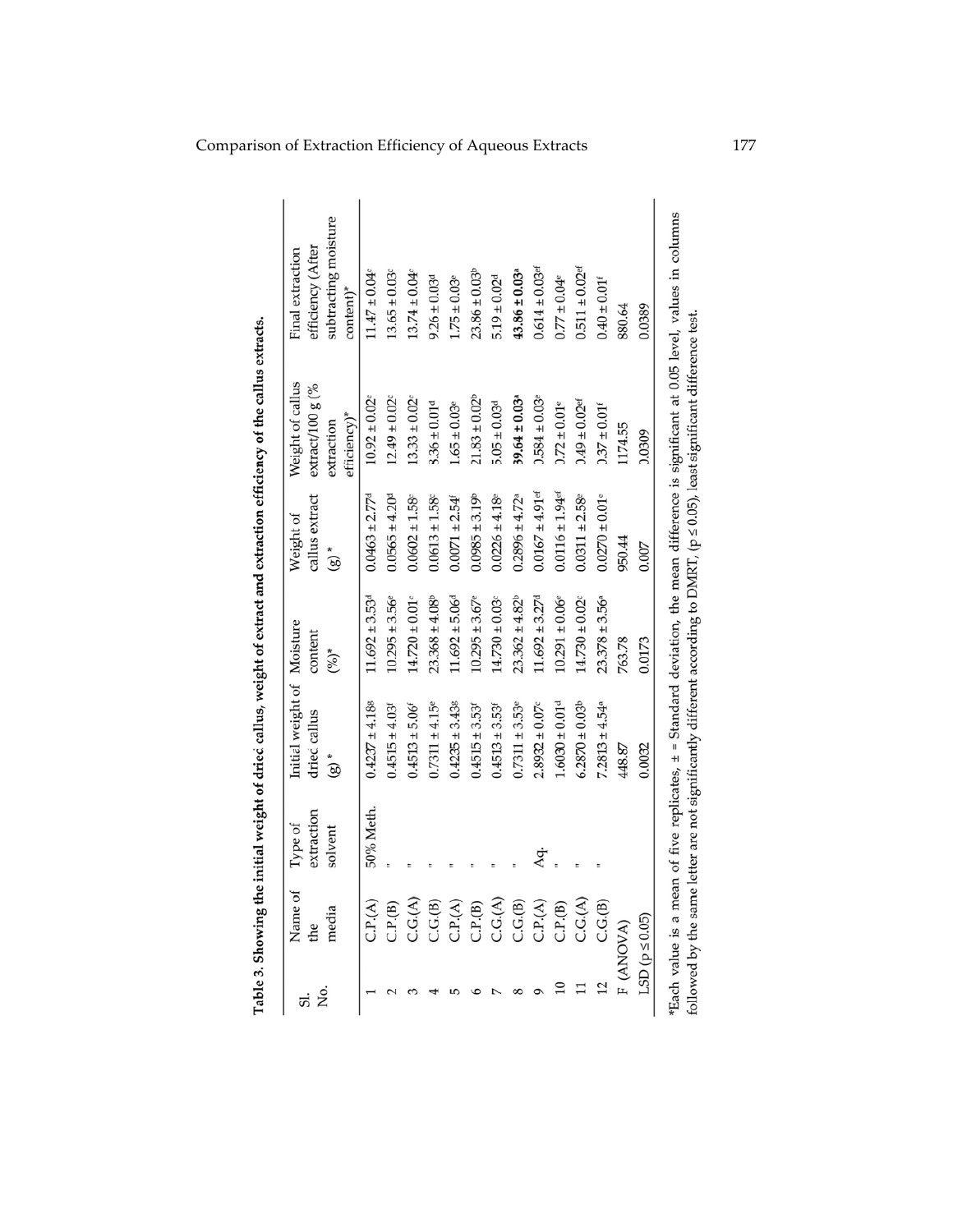| Name of                                                                        | extraction<br>Type of<br>solvent | Initial weight of Moisture<br>dried callus<br>$*$ (8) | content<br>$(0/6)^*$           | callus extract<br>Weight of<br>$\left( \text{g}\right) ^{*}$ | Weight of callus<br>extract/100 g (%<br>efficiency)*<br>extraction | subtracting moisture<br>efficiency (After<br>Final extraction<br>content)* |
|--------------------------------------------------------------------------------|----------------------------------|-------------------------------------------------------|--------------------------------|--------------------------------------------------------------|--------------------------------------------------------------------|----------------------------------------------------------------------------|
| C.P.A)                                                                         | 50% Meth.                        | $0.4237 \pm 4.188$                                    | $11.692 \pm 3.53$ <sup>d</sup> | $0.0463 \pm 2.77^d$                                          | $10.92 \pm 0.02$                                                   | $11.47 \pm 0.04$                                                           |
| C.P.(B)                                                                        |                                  | $0.4515 \pm 4.03$                                     | $10.295 \pm 3.56^{\circ}$      | $0.0565 \pm 4.204$                                           | $12.49 \pm 0.02$                                                   | $13.65 \pm 0.03$                                                           |
| C.G.(A)                                                                        |                                  | $0.4513 \pm 5.06$                                     | $14.720 \pm 0.01$ <sup>c</sup> | $0.0602 \pm 1.58$                                            | $13.33 \pm 0.02$                                                   | $13.74 \pm 0.04$                                                           |
| $\begin{array}{c} \text{C.G.B)} \\ \text{C.P.A)} \\ \text{C.P.B)} \end{array}$ |                                  | $0.7311 \pm 4.15$ <sup>e</sup>                        | $23.368 \pm 4.08^b$            | $0.0613 \pm 1.58$                                            | $8.36 \pm 0.01$ <sup>d</sup>                                       | $9.26 \pm 0.03$ <sup>d</sup>                                               |
|                                                                                |                                  | $0.4235 \pm 3.438$                                    | $11.692 \pm 5.06$ <sup>d</sup> | $0.0071 \pm 2.54$ <sup>e</sup>                               | $1.65 \pm 0.03$ <sup>e</sup>                                       | $1.75 \pm 0.03$                                                            |
|                                                                                |                                  | $0.4515 \pm 3.53$                                     | $10.295 \pm 3.67$ <sup>e</sup> | $0.0985 \pm 3.19$ <sup>b</sup>                               | $21.83 \pm 0.02^b$                                                 | $23.86 \pm 0.03$                                                           |
| C.G.(A)                                                                        |                                  | $0.4513 \pm 3.53$                                     | $14.730 \pm 0.03$              | $0.0226 \pm 4.18$                                            | $5.05 \pm 0.03$ <sup>d</sup>                                       | $5.19 \pm 0.02$ <sup>d</sup>                                               |
| C.G.(B)                                                                        |                                  | $0.7311 \pm 3.53$ <sup>e</sup>                        | $23.362 \pm 4.82^b$            | $0.2896 \pm 4.72$ <sup>a</sup>                               | $39.64 \pm 0.03$ <sup>a</sup>                                      | $43.86 \pm 0.03$ <sup>a</sup>                                              |
| C.P.A)                                                                         | Aq.                              | $2.8932 \pm 0.07$ <sup>c</sup>                        | $11.692 \pm 3.27$ <sup>d</sup> | $0.0167 \pm 4.91$ <sup>ef</sup>                              | $0.584 \pm 0.03$                                                   | $0.614 \pm 0.03$ <sup>ef</sup>                                             |
| C.P.(B)                                                                        |                                  | $1.6030 \pm 0.01$ <sup>d</sup>                        | $10.291 \pm 0.06$ <sup>e</sup> | $0.0116 \pm 1.94$ ef                                         | $0.72 \pm 0.01$ <sup>e</sup>                                       | $0.77 \pm 0.04$ e                                                          |
| C.G.(A)                                                                        |                                  | $6.2870 \pm 0.03$ <sup>b</sup>                        | $14.730 \pm 0.02$ <sup>c</sup> | $0.0311 \pm 2.58$ e                                          | $0.49 \pm 0.02$ <sup>ef</sup>                                      | $0.511 \pm 0.02$ <sup>ef</sup>                                             |
| C.G.(B)                                                                        |                                  | $7.2813 \pm 4.54$ <sup>a</sup>                        | $23.378 \pm 3.56^a$            | $0.0270 \pm 0.01$ <sup>e</sup>                               | $0.37 \pm 0.01$ <sup>f</sup>                                       | $0.40 \pm 0.01$ <sup>f</sup>                                               |
| (ANOVA)                                                                        |                                  | 448.87                                                | 763.78                         | 950.44                                                       | 1174.55                                                            | 880.64                                                                     |
| $SD(p \le 0.05)$                                                               |                                  | 0.0032                                                | 0.0173                         | 0.007                                                        | 0.0309                                                             | 0.0389                                                                     |

Table 3. Showing the initial weight of dried callus, weight of extract and extraction efficiency of the callus extracts.

Lact value is a incant of the protocos, 1 – organization, the mean unit clust is objeined in order to verform<br>followed by the same letter are not significantly different according to DMRT, (p ≤ 0.05), least significant dif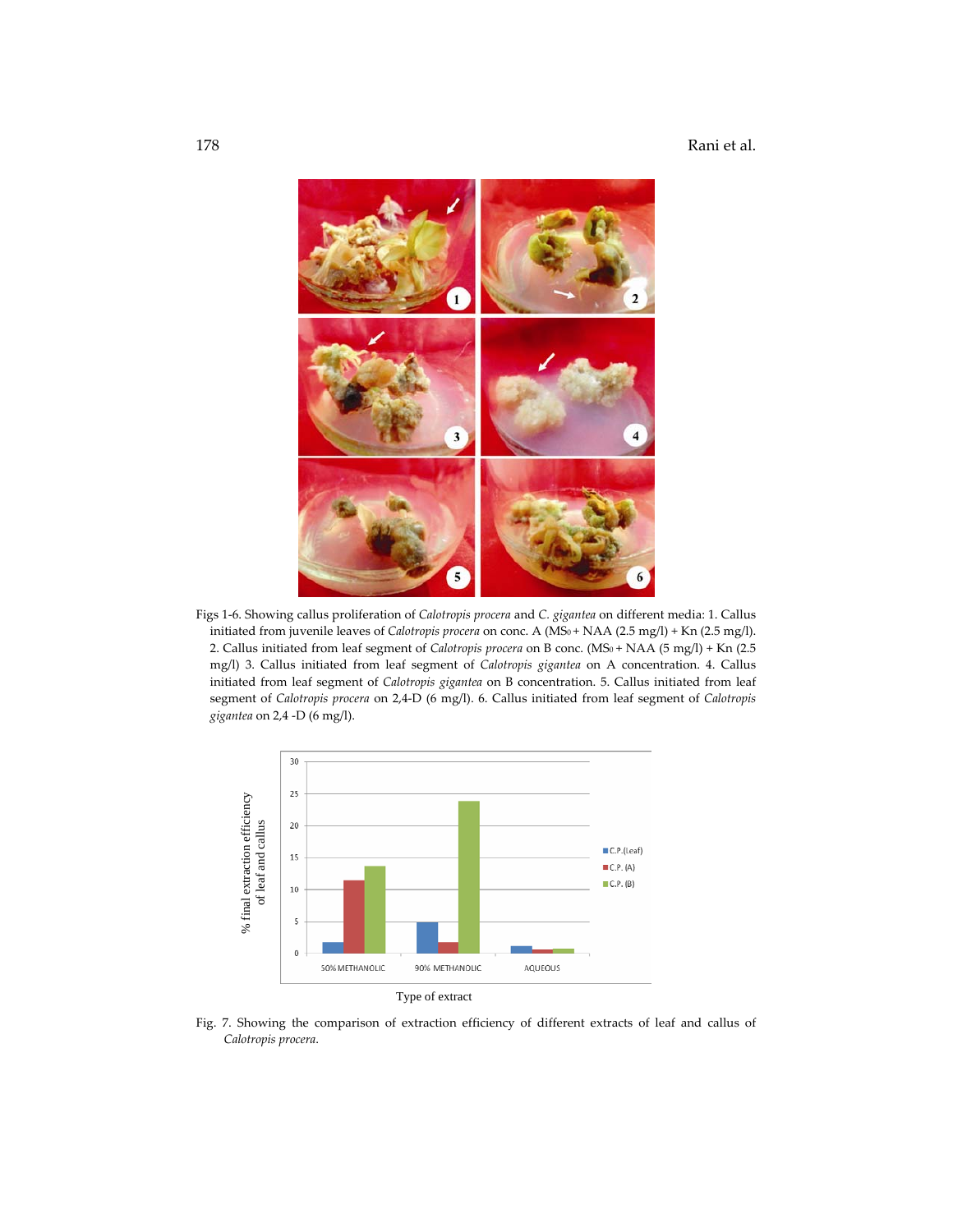

Figs 1‐6. Showing callus proliferation of *Calotropis procera* and *C. gigantea* on different media: 1. Callus initiated from juvenile leaves of *Calotropis procera* on conc. A (MS<sub>0</sub>+ NAA (2.5 mg/l) + Kn (2.5 mg/l). 2. Callus initiated from leaf segment of *Calotropis procera* on B conc. (MS<sub>0</sub> + NAA (5 mg/l) + Kn (2.5 mg/l) 3. Callus initiated from leaf segment of *Calotropis gigantea* on A concentration. 4. Callus initiated from leaf segment of *Calotropis gigantea* on B concentration. 5. Callus initiated from leaf segment of *Calotropis procera* on 2,4‐D (6 mg/l). 6. Callus initiated from leaf segment of *Calotropis gigantea* on 2,4 ‐D (6 mg/l).



Fig. 7. Showing the comparison of extraction efficiency of different extracts of leaf and callus of *Calotropis procera*.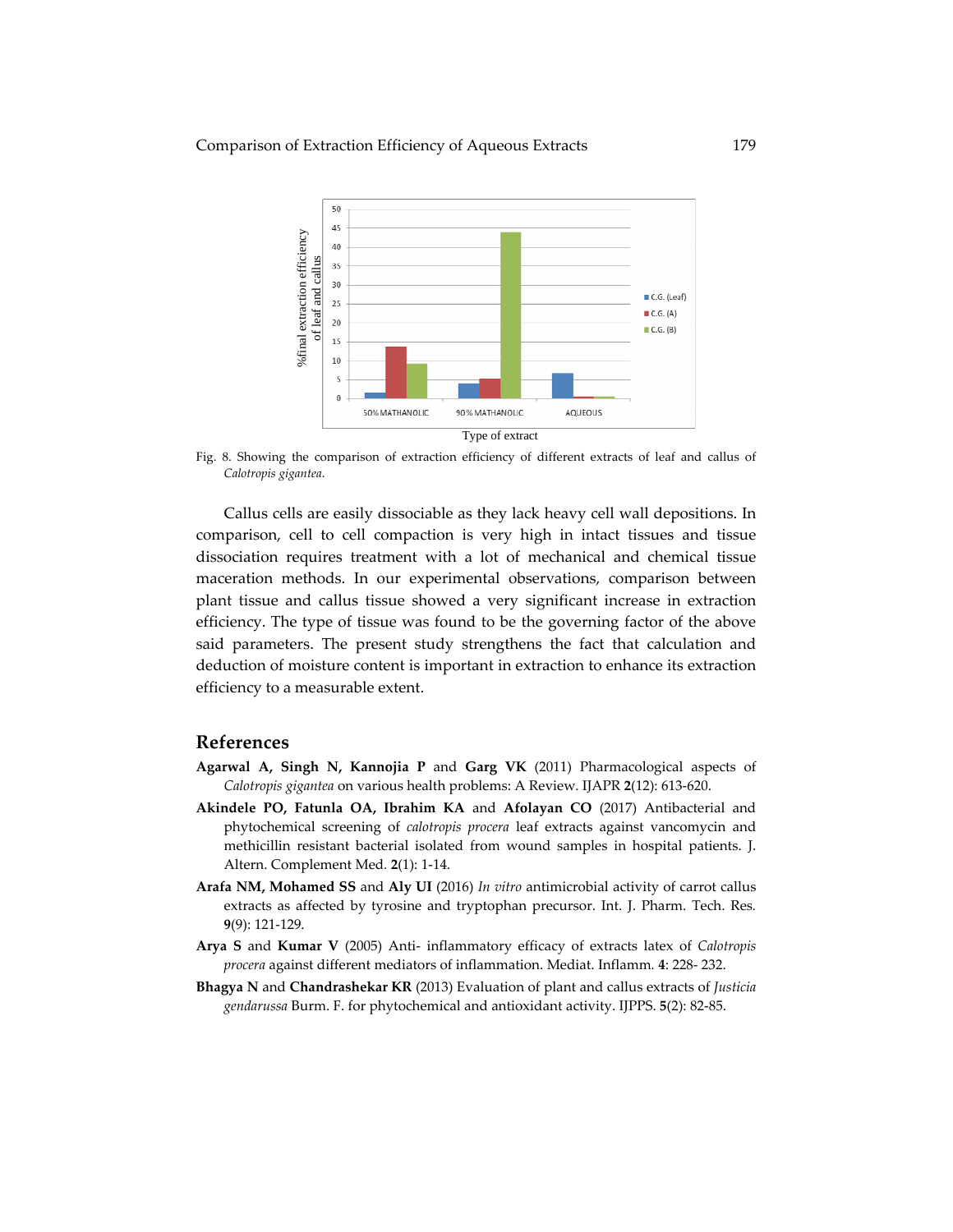

Fig. 8. Showing the comparison of extraction efficiency of different extracts of leaf and callus of *Calotropis gigantea*.

Callus cells are easily dissociable as they lack heavy cell wall depositions. In comparison, cell to cell compaction is very high in intact tissues and tissue dissociation requires treatment with a lot of mechanical and chemical tissue maceration methods. In our experimental observations, comparison between plant tissue and callus tissue showed a very significant increase in extraction efficiency. The type of tissue was found to be the governing factor of the above said parameters. The present study strengthens the fact that calculation and deduction of moisture content is important in extraction to enhance its extraction efficiency to a measurable extent.

#### **References**

- **Agarwal A, Singh N, Kannojia P** and **Garg VK** (2011) Pharmacological aspects of *Calotropis gigantea* on various health problems: A Review. IJAPR **2**(12): 613‐620.
- **Akindele PO, Fatunla OA, Ibrahim KA** and **Afolayan CO** (2017) Antibacterial and phytochemical screening of *calotropis procera* leaf extracts against vancomycin and methicillin resistant bacterial isolated from wound samples in hospital patients. J. Altern. Complement Med*.* **2**(1): 1‐14.
- **Arafa NM, Mohamed SS** and **Aly UI** (2016) *In vitro* antimicrobial activity of carrot callus extracts as affected by tyrosine and tryptophan precursor. Int. J. Pharm. Tech. Res*.* **9**(9): 121‐129.
- **Arya S** and **Kumar V** (2005) Anti‐ inflammatory efficacy of extracts latex of *Calotropis procera* against different mediators of inflammation. Mediat. Inflamm*.* **4**: 228‐ 232.
- **Bhagya N** and **Chandrashekar KR** (2013) Evaluation of plant and callus extracts of *Justicia gendarussa* Burm. F. for phytochemical and antioxidant activity. IJPPS. **5**(2): 82‐85.